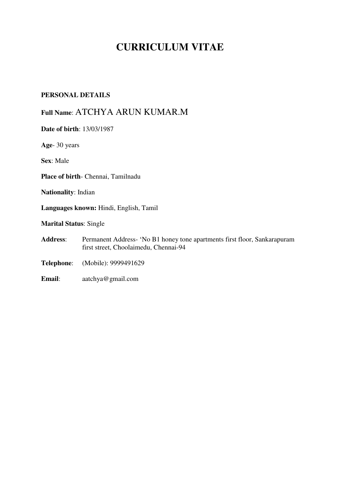# **CURRICULUM VITAE**

#### **PERSONAL DETAILS**

# **Full Name**: ATCHYA ARUN KUMAR.M

- **Date of birth**: 13/03/1987 **Age**- 30 years **Sex**: Male **Place of birth**- Chennai, Tamilnadu **Nationality**: Indian **Languages known:** Hindi, English, Tamil **Marital Status**: Single **Address**: Permanent Address- 'No B1 honey tone apartments first floor, Sankarapuram first street, Choolaimedu, Chennai-94 **Telephone**: (Mobile): 9999491629
- **Email**: aatchya@gmail.com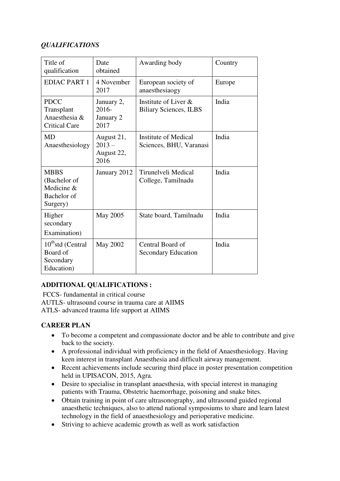### *QUALIFICATIONS*

| Title of<br>qualification                                            | Date<br>obtained                             | Awarding body                                          | Country |
|----------------------------------------------------------------------|----------------------------------------------|--------------------------------------------------------|---------|
| <b>EDIAC PART 1</b>                                                  | 4 November<br>2017                           | European society of<br>anaesthesiaogy                  | Europe  |
| <b>PDCC</b><br>Transplant<br>Anaesthesia &<br><b>Critical Care</b>   | January 2,<br>$2016 -$<br>January 2<br>2017  | Institute of Liver &<br><b>Biliary Sciences, ILBS</b>  | India   |
| <b>MD</b><br>Anaesthesiology                                         | August 21,<br>$2013 -$<br>August 22,<br>2016 | <b>Institute of Medical</b><br>Sciences, BHU, Varanasi | India   |
| <b>MBBS</b><br>(Bachelor of<br>Medicine &<br>Bachelor of<br>Surgery) | January 2012                                 | Tirunelveli Medical<br>College, Tamilnadu              | India   |
| Higher<br>secondary<br>Examination)                                  | May 2005                                     | State board, Tamilnadu                                 | India   |
| 10 <sup>th</sup> std (Central<br>Board of<br>Secondary<br>Education) | May 2002                                     | Central Board of<br><b>Secondary Education</b>         | India   |

# **ADDITIONAL QUALIFICATIONS :**

 FCCS- fundamental in critical course AUTLS- ultrasound course in trauma care at AIIMS ATLS- advanced trauma life support at AIIMS

### **CAREER PLAN**

- To become a competent and compassionate doctor and be able to contribute and give back to the society.
- A professional individual with proficiency in the field of Anaesthesiology. Having keen interest in transplant Anaesthesia and difficult airway management.
- Recent achievements include securing third place in poster presentation competition held in UPISACON, 2015, Agra.
- Desire to specialise in transplant anaesthesia, with special interest in managing patients with Trauma, Obstetric haemorrhage, poisoning and snake bites.
- Obtain training in point of care ultrasonography, and ultrasound guided regional anaesthetic techniques, also to attend national symposiums to share and learn latest technology in the field of anaesthesiology and perioperative medicine.
- Striving to achieve academic growth as well as work satisfaction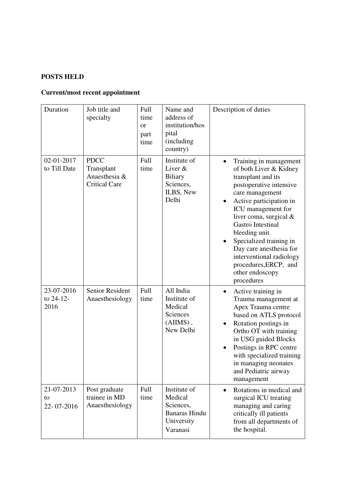# **POSTS HELD**

# **Current/most recent appointment**

| Duration                        | Job title and<br>specialty                                         | Full<br>time<br><b>or</b><br>part<br>time | Name and<br>address of<br>institution/hos<br>pital<br>(including<br>country)           | Description of duties                                                                                                                                                                                                                                                                                                                                                                                   |
|---------------------------------|--------------------------------------------------------------------|-------------------------------------------|----------------------------------------------------------------------------------------|---------------------------------------------------------------------------------------------------------------------------------------------------------------------------------------------------------------------------------------------------------------------------------------------------------------------------------------------------------------------------------------------------------|
| 02-01-2017<br>to Till Date      | <b>PDCC</b><br>Transplant<br>Anaesthesia &<br><b>Critical Care</b> | Full<br>time                              | Institute of<br>Liver &<br><b>Biliary</b><br>Sciences,<br>ILBS, New<br>Delhi           | Training in management<br>of both Liver & Kidney<br>transplant and its<br>postoperative intensive<br>care management<br>Active participation in<br>$\bullet$<br>ICU management for<br>liver coma, surgical $&$<br><b>Gastro Intestinal</b><br>bleeding unit<br>Specialized training in<br>Day care anesthesia for<br>interventional radiology<br>procedures, ERCP, and<br>other endoscopy<br>procedures |
| 23-07-2016<br>to 24-12-<br>2016 | Senior Resident<br>Anaesthesiology                                 | Full<br>time                              | All India<br>Institute of<br>Medical<br>Sciences<br>$(AIIMS)$ ,<br>New Delhi           | Active training in<br>٠<br>Trauma management at<br>Apex Trauma centre<br>based on ATLS protocol<br>Rotation postings in<br>٠<br>Ortho OT with training<br>in USG guided Blocks<br>Postings in RPC centre<br>with specialized training<br>in managing neonates<br>and Pediatric airway<br>management                                                                                                     |
| 21-07-2013<br>to<br>22-07-2016  | Post graduate<br>trainee in MD<br>Anaesthesiology                  | Full<br>time                              | Institute of<br>Medical<br>Sciences,<br><b>Banaras Hindu</b><br>University<br>Varanasi | Rotations in medical and<br>$\bullet$<br>surgical ICU treating<br>managing and caring<br>critically ill patients<br>from all departments of<br>the hospital.                                                                                                                                                                                                                                            |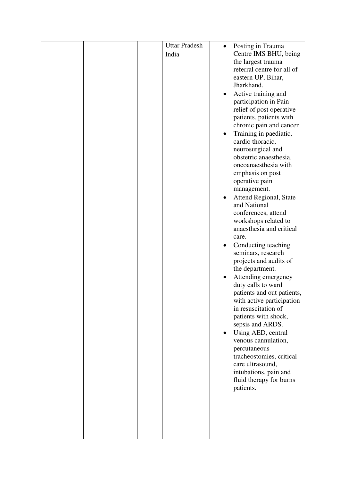|  | <b>Uttar Pradesh</b> |   | Posting in Trauma                          |
|--|----------------------|---|--------------------------------------------|
|  | India                |   | Centre IMS BHU, being                      |
|  |                      |   | the largest trauma                         |
|  |                      |   | referral centre for all of                 |
|  |                      |   | eastern UP, Bihar,                         |
|  |                      |   | Jharkhand.                                 |
|  |                      | ٠ | Active training and                        |
|  |                      |   | participation in Pain                      |
|  |                      |   | relief of post operative                   |
|  |                      |   | patients, patients with                    |
|  |                      |   | chronic pain and cancer                    |
|  |                      |   | Training in paediatic,<br>cardio thoracic, |
|  |                      |   | neurosurgical and                          |
|  |                      |   | obstetric anaesthesia,                     |
|  |                      |   | oncoanaesthesia with                       |
|  |                      |   | emphasis on post                           |
|  |                      |   | operative pain                             |
|  |                      |   | management.                                |
|  |                      |   | Attend Regional, State                     |
|  |                      |   | and National                               |
|  |                      |   | conferences, attend                        |
|  |                      |   | workshops related to                       |
|  |                      |   | anaesthesia and critical                   |
|  |                      |   | care.<br>Conducting teaching               |
|  |                      |   | seminars, research                         |
|  |                      |   | projects and audits of                     |
|  |                      |   | the department.                            |
|  |                      |   | Attending emergency                        |
|  |                      |   | duty calls to ward                         |
|  |                      |   | patients and out patients,                 |
|  |                      |   | with active participation                  |
|  |                      |   | in resuscitation of                        |
|  |                      |   | patients with shock,                       |
|  |                      |   | sepsis and ARDS.                           |
|  |                      |   | Using AED, central<br>venous cannulation,  |
|  |                      |   | percutaneous                               |
|  |                      |   | tracheostomies, critical                   |
|  |                      |   | care ultrasound,                           |
|  |                      |   | intubations, pain and                      |
|  |                      |   | fluid therapy for burns                    |
|  |                      |   | patients.                                  |
|  |                      |   |                                            |
|  |                      |   |                                            |
|  |                      |   |                                            |
|  |                      |   |                                            |
|  |                      |   |                                            |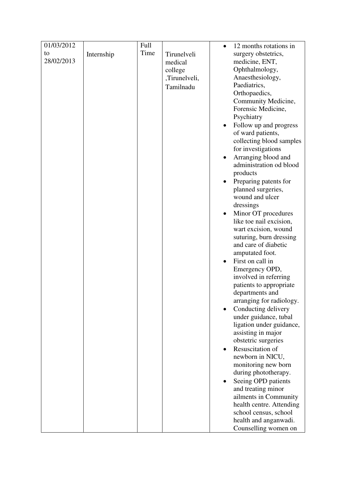| 01/03/2012 |            | Full |               | $\bullet$ | 12 months rotations in   |
|------------|------------|------|---------------|-----------|--------------------------|
| to         | Internship | Time | Tirunelveli   |           | surgery obstetrics,      |
| 28/02/2013 |            |      | medical       |           | medicine, ENT,           |
|            |            |      | college       |           | Ophthalmology,           |
|            |            |      | ,Tirunelveli, |           | Anaesthesiology,         |
|            |            |      | Tamilnadu     |           | Paediatrics,             |
|            |            |      |               |           | Orthopaedics,            |
|            |            |      |               |           | Community Medicine,      |
|            |            |      |               |           | Forensic Medicine,       |
|            |            |      |               |           | Psychiatry               |
|            |            |      |               |           | Follow up and progress   |
|            |            |      |               |           | of ward patients,        |
|            |            |      |               |           | collecting blood samples |
|            |            |      |               |           | for investigations       |
|            |            |      |               |           | Arranging blood and      |
|            |            |      |               |           | administration od blood  |
|            |            |      |               |           | products                 |
|            |            |      |               |           | Preparing patents for    |
|            |            |      |               |           | planned surgeries,       |
|            |            |      |               |           | wound and ulcer          |
|            |            |      |               |           | dressings                |
|            |            |      |               |           | Minor OT procedures      |
|            |            |      |               |           | like toe nail excision,  |
|            |            |      |               |           | wart excision, wound     |
|            |            |      |               |           | suturing, burn dressing  |
|            |            |      |               |           | and care of diabetic     |
|            |            |      |               |           | amputated foot.          |
|            |            |      |               |           | First on call in         |
|            |            |      |               |           | Emergency OPD,           |
|            |            |      |               |           | involved in referring    |
|            |            |      |               |           | patients to appropriate  |
|            |            |      |               |           | departments and          |
|            |            |      |               |           | arranging for radiology. |
|            |            |      |               |           | Conducting delivery      |
|            |            |      |               |           | under guidance, tubal    |
|            |            |      |               |           | ligation under guidance, |
|            |            |      |               |           | assisting in major       |
|            |            |      |               |           | obstetric surgeries      |
|            |            |      |               |           | Resuscitation of         |
|            |            |      |               |           | newborn in NICU,         |
|            |            |      |               |           | monitoring new born      |
|            |            |      |               |           | during phototherapy.     |
|            |            |      |               |           | Seeing OPD patients      |
|            |            |      |               |           | and treating minor       |
|            |            |      |               |           | ailments in Community    |
|            |            |      |               |           | health centre. Attending |
|            |            |      |               |           | school census, school    |
|            |            |      |               |           | health and anganwadi.    |
|            |            |      |               |           | Counselling women on     |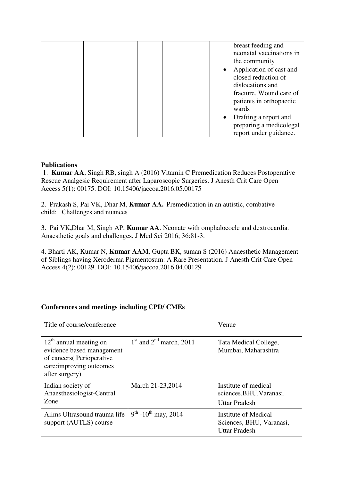|  |  |           | breast feeding and       |
|--|--|-----------|--------------------------|
|  |  |           | neonatal vaccinations in |
|  |  |           | the community            |
|  |  |           | Application of cast and  |
|  |  |           | closed reduction of      |
|  |  |           | dislocations and         |
|  |  |           | fracture. Wound care of  |
|  |  |           | patients in orthopaedic  |
|  |  |           | wards                    |
|  |  | $\bullet$ | Drafting a report and    |
|  |  |           | preparing a medicolegal  |
|  |  |           | report under guidance.   |
|  |  |           |                          |

### **Publications**

 1. **Kumar AA**, Singh RB, singh A (2016) Vitamin C Premedication Reduces Postoperative Rescue Analgesic Requirement after Laparoscopic Surgeries. J Anesth Crit Care Open Access 5(1): 00175. DOI: 10.15406/jaccoa.2016.05.00175

2. Prakash S, Pai VK, Dhar M, **Kumar AA.** Premedication in an autistic, combative child: Challenges and nuances

3.Pai VK**,**Dhar M, Singh AP, **Kumar AA**. Neonate with omphalocoele and dextrocardia. Anaesthetic goals and challenges. J Med Sci 2016; 36:81-3.

4. Bharti AK, Kumar N, **Kumar AAM**, Gupta BK, suman S (2016) Anaesthetic Management of Siblings having Xeroderma Pigmentosum: A Rare Presentation. J Anesth Crit Care Open Access 4(2): 00129. DOI: 10.15406/jaccoa.2016.04.00129

### **Conferences and meetings including CPD/ CMEs**

| Title of course/conference                                                                                                       |                                      | Venue                                                                    |
|----------------------------------------------------------------------------------------------------------------------------------|--------------------------------------|--------------------------------------------------------------------------|
| $12th$ annual meeting on<br>evidence based management<br>of cancers (Perioperative<br>care: improving outcomes<br>after surgery) | $1st$ and $2nd$ march, 2011          | Tata Medical College,<br>Mumbai, Maharashtra                             |
| Indian society of<br>Anaesthesiologist-Central<br><b>Zone</b>                                                                    | March 21-23, 2014                    | Institute of medical<br>sciences, BHU, Varanasi,<br><b>Uttar Pradesh</b> |
| Aiims Ultrasound trauma life<br>support (AUTLS) course                                                                           | $9^{th}$ -10 <sup>th</sup> may, 2014 | Institute of Medical<br>Sciences, BHU, Varanasi,<br><b>Uttar Pradesh</b> |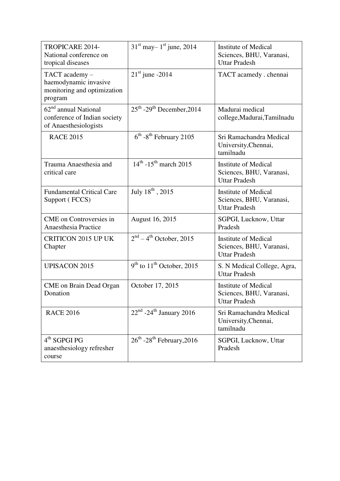| TROPICARE 2014-<br>National conference on<br>tropical diseases                    | $31st$ may - $1st$ june, 2014                     | <b>Institute of Medical</b><br>Sciences, BHU, Varanasi,<br><b>Uttar Pradesh</b> |
|-----------------------------------------------------------------------------------|---------------------------------------------------|---------------------------------------------------------------------------------|
| TACT academy -<br>haemodynamic invasive<br>monitoring and optimization<br>program | $21st$ june -2014                                 | TACT acamedy . chennai                                                          |
| $62nd$ annual National<br>conference of Indian society<br>of Anaesthesiologists   | $25th$ -29 <sup>th</sup> December, 2014           | Madurai medical<br>college, Madurai, Tamilnadu                                  |
| <b>RACE 2015</b>                                                                  | $6th$ -8 <sup>th</sup> February 2105              | Sri Ramachandra Medical<br>University, Chennai,<br>tamilnadu                    |
| Trauma Anaesthesia and<br>critical care                                           | $14^{th}$ -15 <sup>th</sup> march 2015            | <b>Institute of Medical</b><br>Sciences, BHU, Varanasi,<br><b>Uttar Pradesh</b> |
| <b>Fundamental Critical Care</b><br>Support (FCCS)                                | July $18^{th}$ , 2015                             | <b>Institute of Medical</b><br>Sciences, BHU, Varanasi,<br><b>Uttar Pradesh</b> |
| <b>CME</b> on Controversies in<br>Anaesthesia Practice                            | August 16, 2015                                   | SGPGI, Lucknow, Uttar<br>Pradesh                                                |
| <b>CRITICON 2015 UP UK</b><br>Chapter                                             | $2nd - 4th October, 2015$                         | <b>Institute of Medical</b><br>Sciences, BHU, Varanasi,<br><b>Uttar Pradesh</b> |
| <b>UPISACON 2015</b>                                                              | $9th$ to $11th$ October, 2015                     | S. N Medical College, Agra,<br><b>Uttar Pradesh</b>                             |
| <b>CME</b> on Brain Dead Organ<br>Donation                                        | October 17, 2015                                  | <b>Institute of Medical</b><br>Sciences, BHU, Varanasi,<br><b>Uttar Pradesh</b> |
| <b>RACE 2016</b>                                                                  | $22nd$ -24 <sup>th</sup> January 2016             | Sri Ramachandra Medical<br>University, Chennai,<br>tamilnadu                    |
| $4th$ SGPGI PG<br>anaesthesiology refresher<br>course                             | $26^{\text{th}}$ -28 <sup>th</sup> February, 2016 | SGPGI, Lucknow, Uttar<br>Pradesh                                                |